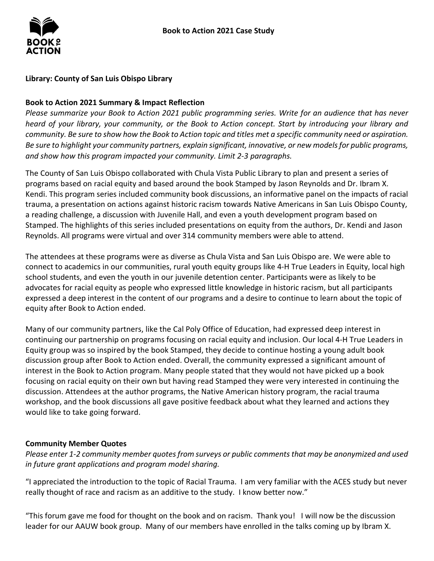

## **Library: County of San Luis Obispo Library**

### **Book to Action 2021 Summary & Impact Reflection**

*Please summarize your Book to Action 2021 public programming series. Write for an audience that has never heard of your library, your community, or the Book to Action concept. Start by introducing your library and community. Be sure to show how the Book to Action topic and titles met a specific community need or aspiration. Be sure to highlight your community partners, explain significant, innovative, or new models for public programs, and show how this program impacted your community. Limit 2-3 paragraphs.* 

 Kendi. This program series included community book discussions, an informative panel on the impacts of racial Stamped. The highlights of this series included presentations on equity from the authors, Dr. Kendi and Jason Reynolds. All programs were virtual and over 314 community members were able to attend. The County of San Luis Obispo collaborated with Chula Vista Public Library to plan and present a series of programs based on racial equity and based around the book Stamped by Jason Reynolds and Dr. Ibram X. trauma, a presentation on actions against historic racism towards Native Americans in San Luis Obispo County, a reading challenge, a discussion with Juvenile Hall, and even a youth development program based on

 The attendees at these programs were as diverse as Chula Vista and San Luis Obispo are. We were able to school students, and even the youth in our juvenile detention center. Participants were as likely to be expressed a deep interest in the content of our programs and a desire to continue to learn about the topic of connect to academics in our communities, rural youth equity groups like 4-H True Leaders in Equity, local high advocates for racial equity as people who expressed little knowledge in historic racism, but all participants equity after Book to Action ended.

 Many of our community partners, like the Cal Poly Office of Education, had expressed deep interest in Equity group was so inspired by the book Stamped, they decide to continue hosting a young adult book interest in the Book to Action program. Many people stated that they would not have picked up a book discussion. Attendees at the author programs, the Native American history program, the racial trauma workshop, and the book discussions all gave positive feedback about what they learned and actions they continuing our partnership on programs focusing on racial equity and inclusion. Our local 4-H True Leaders in discussion group after Book to Action ended. Overall, the community expressed a significant amount of focusing on racial equity on their own but having read Stamped they were very interested in continuing the would like to take going forward.

## **Community Member Quotes**

*Please enter 1-2 community member quotes from surveys or public comments that may be anonymized and used in future grant applications and program model sharing.* 

 "I appreciated the introduction to the topic of Racial Trauma. I am very familiar with the ACES study but never really thought of race and racism as an additive to the study. I know better now."

 "This forum gave me food for thought on the book and on racism. Thank you! I will now be the discussion leader for our AAUW book group. Many of our members have enrolled in the talks coming up by Ibram X.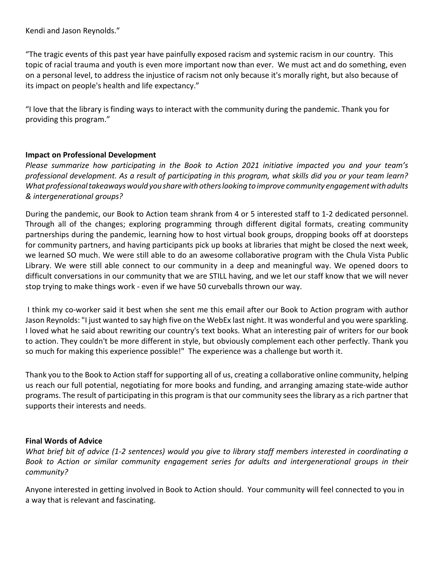Kendi and Jason Reynolds."

 "The tragic events of this past year have painfully exposed racism and systemic racism in our country. This topic of racial trauma and youth is even more important now than ever. We must act and do something, even its impact on people's health and life expectancy." on a personal level, to address the injustice of racism not only because it's morally right, but also because of

 "I love that the library is finding ways to interact with the community during the pandemic. Thank you for providing this program."

### **Impact on Professional Development**

 *What professional takeaways would you share with others looking to improve community engagement with adults & intergenerational groups? Please summarize how participating in the Book to Action 2021 initiative impacted you and your team's professional development. As a result of participating in this program, what skills did you or your team learn?* 

 Through all of the changes; exploring programming through different digital formats, creating community partnerships during the pandemic, learning how to host virtual book groups, dropping books off at doorsteps for community partners, and having participants pick up books at libraries that might be closed the next week, we learned SO much. We were still able to do an awesome collaborative program with the Chula Vista Public Library. We were still able connect to our community in a deep and meaningful way. We opened doors to difficult conversations in our community that we are STILL having, and we let our staff know that we will never stop trying to make things work - even if we have 50 curveballs thrown our way. During the pandemic, our Book to Action team shrank from 4 or 5 interested staff to 1-2 dedicated personnel.

 I think my co-worker said it best when she sent me this email after our Book to Action program with author I loved what he said about rewriting our country's text books. What an interesting pair of writers for our book so much for making this experience possible!" The experience was a challenge but worth it. Jason Reynolds: "I just wanted to say high five on the WebEx last night. It was wonderful and you were sparkling. to action. They couldn't be more different in style, but obviously complement each other perfectly. Thank you

 Thank you to the Book to Action staff for supporting all of us, creating a collaborative online community, helping programs. The result of participating in this program is that our community sees the library as a rich partner that us reach our full potential, negotiating for more books and funding, and arranging amazing state-wide author supports their interests and needs.

#### **Final Words of Advice**

*What brief bit of advice (1-2 sentences) would you give to library staff members interested in coordinating a Book to Action or similar community engagement series for adults and intergenerational groups in their community?* 

 a way that is relevant and fascinating. Anyone interested in getting involved in Book to Action should. Your community will feel connected to you in